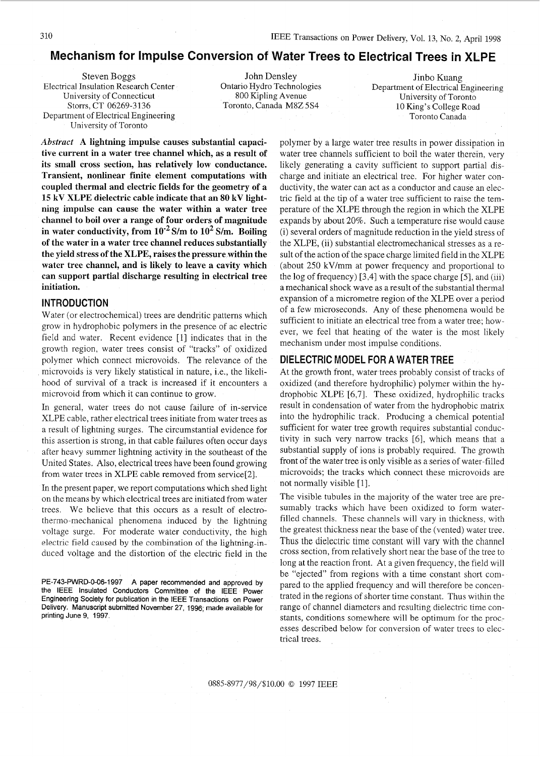# **Mechanism for Impulse Conversion of Water Trees to Electrical Trees in XLPE**

University of Connecticut 800 Kipling Avenue University of Toronto Electrical Insulation Research Center Storrs, CT 06269-3136 Department of Electrical Engineering University of Toronto

Steven Boggs John Densley John Densley Jinbo Kuang Jinbo Auang<br>Insulation Research Center Ontario Hydro Technologies Department of Electrical F Toronto, Canada M8Z 5S4

Department of Electrical Engineering 10 King's College Road Toronto Canada

*Abstract* **A lightning impulse causes substantial capacitive current in a water tree channel which, as a result of its small cross section, has relatively low conductance. Transient, nonlinear finite element computations with coupled thermal and electric fields for the geometry of a 15 kV XLPE dielectric cable indicate that an 80 kV lightning impulse can cause the water within a water tree channel to boil over a range of four orders of magnitude**  in water conductivity, from  $10^{-2}$  S/m to  $10^{2}$  S/m. Boiling **of the water in a water tree channel reduces substantially the yield stress of the XLPE, raises the pressure within the water tree channel, and is likely to leave a cavity which can support partial discharge resulting in electrical tree initiation.** 

#### INTRODUCTION

Water (or electrochemical) trees are dendritic patterns which grow in hydrophobic polymers in the presence of ac electric field and water. Recent evidence [l] indicates that in the growth region, water trees consist of "tracks" of oxidized polymer which connect microvoids. The relevance of the microvoids is very likely statistical in nature, i.e., the likelihood of survival of a track is increased if it encounters a microvoid from which it can continue to grow.

In general, water trees do not cause failure of in-service XLPE cable, rather electrical trees initiate from water trees as a result of lightning surges. The circumstantial evidence for this assertion is strong, in that cable failures often occur days after heavy summer lightning activity in the southeast of the United States. Also, electrical trees have been found growing from water trees in XLPE cable removed from service[2].

In the present paper, we report computations which shed light on the means by which electrical trees are initiated from water trees. We believe that this occurs as a result of electrothermo-mechanical phenomena induced by the lightning voltage surge. For moderate water conductivity, the high electric field caused by the combination of the lightning-induced voltage and the distortion of the electric field in the polymer by a large water tree results in power dissipation in water tree channels sufficient to boil the water therein, very likely generating a cavity sufficient to support partial discharge and initiate an electrical tree. For higher water conductivity, the water can act as a conductor and cause an electric field at the tip of a water tree sufficient to raise the temperature of the XLPE through the region in which the XLPE expands by about 20%. Such a temperature rise would cause (i) several orders of magnitude reduction in the yield stress of the XLPE, (ii) substantial electromechanical stresses as a result of the action of the space charge limited field in the XLPE (about 250 kV/mm at power frequency and proportional to the log of frequency) [3,4] with the space charge *[5],* and (111) a mechanical shock wave as a result of the substantial thermal expansion of a micrometre region of the XLPE over a period of a few microseconds. Any of these phenomena would be sufficient to initiate an electrical tree from a water tree; however, we feel that heating of the water is the most likely mechanism under most impulse conditions.

## DIELECTRIC MODEL FOR A WATER T

At the growth front, water trees probably consist of tracks of oxidized (and therefore hydrophilic) polymer within the hydrophobic XLPE [6,7]. These oxidized, hydrophilic tracks result in condensation of water from the hydrophobic matrix into the hydrophilic track. Producing a chemical potential sufficient for water tree growth requires substantial conductivity in such very narrow tracks [6], which means that a substantial supply of ions is probably required. The growth front of the water tree is only visible as a series of water-filled microvoids; the tracks which connect these microvoids are not normally visible [I].

The visible tubules in the majority of the water tree are presumably tracks which have been oxidized to form waterfilled channels. These channels will vary in thickness, with the greatest thickness near the base of the (vented) water tree. Thus the dielectric time constant will vary with the channel cross section, from relatively short near the base of the tree to long at the reaction front. At a given frequency, the field will be "ejected" from regions with a time constant short compared to the applied frequency and will therefore be concentrated in the regions of shorter time constant. Thus within the range of channel diameters and resulting dielectric time constants, conditions somewhere will be optimum for the processes described below for conversion of water trees to electrical trees.

PE-743-PWRD-0-06-1997 **A** paper recommended and approved by the IEEE Insulated Conductors Committee of the IEEE Power Engineering Society for publication in the IEEE Transactions on Power Delivery. Manuscript submitted November 27, 1996; made available for printing June 9, 1997.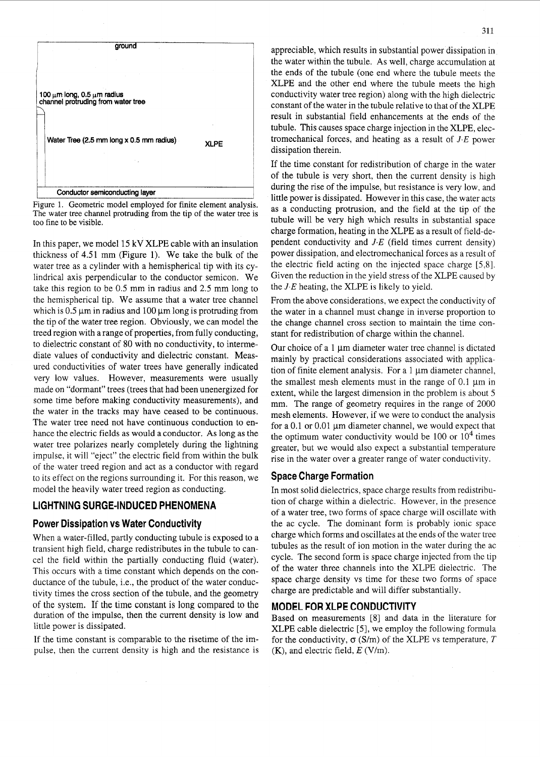<span id="page-1-0"></span>

Figure 1. Geometric model employed for finite element analysis. The water tree channel protruding from the tip of the water tree is too fine to be visible.

In this paper, we model 15 kV XLPE cable with an insulation thickness of 4.51 mm (Figure 1). We take the bulk of the water tree as a cylinder with a hemispherical tip with its cylindrical axis perpendicular to the conductor semicon. We take this region to be 0.5 mm in radius and 2.5 mm long to the hemispherical tip. We assume that a water tree channel which is  $0.5 \mu m$  in radius and  $100 \mu m$  long is protruding from the tip of the water tree region. Obviously, we can model the treed region with a range of properties, from fully conducting, to dielectric constant of 80 with no conductivity, to intermediate values of conductivity and dielectric constant. Measured conductivities of water trees have generally indicated very low values. However, measurements were usually made on "dormant" trees (trees that had been unenergized for some time before making conductivity measurements), and the water in the tracks may have ceased to be continuous. The water tree need not have continuous conduction to enhance the electric fields, as would a conductor. **As** long as the water tree polarizes nearly completely during the lightning impulse, it will "eject" the electric field from within the bulk of the water treed region and act as a conductor with regard to its effect on the regions surrounding it. For this reason, we model the heavily water treed region as conducting.

## **LIGHTNING SURGE-INDUCED PHENOMENA**

## **Power Dissipation vs; Water Conductivity**

When a water-filled, partly conducting tubule is exposed to a transient high field, charge redistributes in the tubule to cancel the field within the partially conducting fluid (water). This occurs with a time constant which depends on the conductance of the tubule, i.e., the product of the water conductivity times the cross section of the tubule, and the geometry of the system. If the time constant is long compared to the duration of the impulse, then the current density is low and little power is dissipated.

If the time constant is comparable to the risetime of the impulse, then the current density is high and the resistance is

appreciable, which results in substantial power dissipation in the water within the tubule. As well, charge accumulation at the ends of the tubule (one end where the tubule meets the XLPE and the other end where the tubule meets the high conductivity water tree region) along with the high dielectric constant of the water in the tubule relative to that of the XLPE result in substantial field enhancements at the ends of the tubule. This causes space charge injection in the XLPE, electromechanical forces, and heating as a result of *J.E* power dissipation therein.

If the time constant for redistribution of charge in the water of the tubule is very short, then the current density is high during the rise of the impulse, but resistance is very low, and little power is dissipated. However in this case, the water acts as a conducting protrusion, and the field at the tip of the tubule will be very high which results in substantial space charge formation, heating in the XLPE as a result of field-dependent conductivity and *J.E* (field times current density) power dissipation, and electromechanical forces as a result of the electric field acting on the injected space charge *[5,8].*  Given the reduction in the yield stress of the XLPE caused by the *J.E* heating, the XLPE is likely to yield.

From the above considerations, we expect the conductivity of the water in a channel must change in inverse proportion to the change channel cross section to maintain the time constant for redistribution of charge within the channel.

Our choice of a 1 µm diameter water tree channel is dictated mainly by practical considerations associated with application of finite element analysis. For a  $1 \mu m$  diameter channel, the smallest mesh elements must in the range of  $0.1 \mu m$  in extent, while the largest dimension in the problem is about *5*  mm. The range of geometry requires in the range of 2000 mesh elements. However, if we were to conduct the analysis for a 0.1 or 0.01  $\mu$ m diameter channel, we would expect that the optimum water conductivity would be  $100$  or  $10<sup>4</sup>$  times greater, but we would also expect a substantial temperature rise in the water over a greater range of water conductivity.

#### **Space Charge Formation**

In most solid dielectrics, space charge results from redistribution of charge within a dielectric. However, in the presence of a water tree, two forms of space charge will oscillate with the ac cycle. The dominant form is probably ionic space charge which forms and oscillates at the ends of the water tree tubules as the result of ion motion in the water during the ac cycle. The second form is space charge injected from the tip of the water three channels into the XLPE dielectric. The space charge density vs time for these two forms of space charge are predictable and will differ substantially.

#### **MODEL FOR XLPE CONDUCTIVITY**

Based on measurements **[8]** and data in the literature for XLPE cable dielectric *[5],* we employ the following formula for the conductivity,  $\sigma$  (S/m) of the XLPE vs temperature, *T* (K), and electric field, *E* (V/m).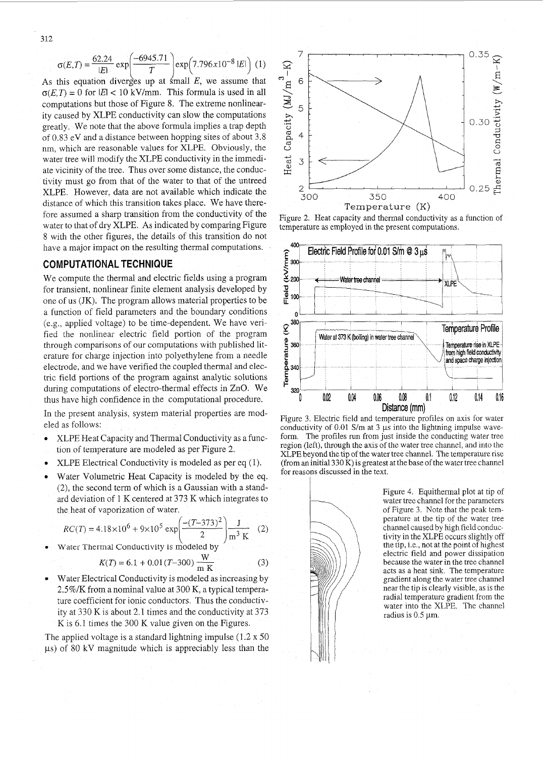<span id="page-2-0"></span>312  
\n
$$
\sigma(E,T) = \frac{62.24}{|E|} \exp\left(\frac{-6945.71}{T}\right) \exp\left(7.796 \times 10^{-8} |E|\right)
$$
\n(A) (1)  
\nAs this equation diverges up at small *E*, we assume that

 $\sigma(E,T) = 0$  for  $|E| < 10$  kV/mm. This formula is used in all computations but those of [Figure 8.](#page-4-0) The extreme nonlinearity caused by XLPE conductivity can slow the computations greatly. We note that the above formula implies a trap depth of 0.83 eV and a distance between hopping sites of about 3.8 nm, which are reasonable values for XLPE. Obviously, the water tree will modify the XLPE conductivity in the immediate vicinity of the tree. Thus over some distance, the conductivity must go from that of the water to that of the untreed XLPE. However, data are not available which indicate the distance of which this transition takes place. We have therefore assumed a sharp transition from the conductivity of the water to that of dry XLPE. As indicated by comparing [Figure](#page-4-0) [8](#page-4-0) with the other figures, the details of this transition do not have a major impact on the resulting thermal computations.

#### **MPUTATIOMAL TECHNIQUE**

We compute the thermal and electric fields using a program for transient, nonlinear finite element analysis developed by one of us (JK). The program allows material properties to be a function of field parameters and the boundary conditions (e.g., applied voltage) to be time-dependent. We have verified the nonlinear electric field portion of the program through comparisons of our computations with published literature for charge injection into polyethylene from a needle electrode, and we have verified the coupled thermal and electric field portions of the program against analytic solutions during computations of electro-thermal effects in ZnO. We thus have high confidence in the computational procedure.

In the present analysis, system material properties are modeled as follows:

- **e** XLPE Heat Capacity and Thermal Conductivity as a function of temperature are modeled as per Figure 2.
- **<sup>e</sup>**XLPE Electrical Conductivity is modeled as per eq (1).
- Water Volumetric Heat Capacity is modeled by the eq. (2), the second term of which is a Gaussian with a standard deviation of 1 K centered at 373 K which integrates to the heat of vaporization of water.

$$
RC(T) = 4.18 \times 10^{6} + 9 \times 10^{5} \exp\left(\frac{-(T-373)^{2}}{2}\right) \frac{J}{m^{3} K}
$$
 (2)

Water Thermal Conductivity is modeled by

$$
K(T) = 6.1 + 0.01(T - 300) \frac{W}{m K}
$$
 (3)

Water Electrical Conductivity is modeled as increasing by 2.5%/K from a nominal value at 300 K, a typical temperature coefficient for ionic conductors. Thus the conductivity at 330 K is about 2.1 times and the conductivity at 373 K is 6.1 times the 300 K value given on the Figures.

The applied voltage is a standard lightning impulse (1.2 x 50 ps) of 80 **kV** magnitude which is appreciably less than the



Figure 2. Heat capacity and thermal conductivity as a function of temperature as employed in the present computations.



Figure 3. Electric field and temperature profiles on axis for water conductivity of 0.01 S/m at 3  $\mu$ s into the lightning impulse waveform. The profiles run from just inside the conducting water tree region (left), through the axis of the water tree channel, and into the XLPE beyond the tip of the water tree channel. The temperature rise (from an initial 330  $\tilde{K}$ ) is greatest at the base of the water tree channel for reasons discussed in the text.



Figure 4. Equithermal plot at tip of water tree channel for the parameters of Figure 3. Note that the peak temperature at the tip of the water tree channel caused by high field conduc tivity in the XLPE occurs slightly off the tip, i.e., not at the point of highest electric field and power dissipation because the water in the tree channel acts as a heat sink. The temperature gradient along the water tree channel near the tip is clearly visible, as is the radial temperature gradient from the water into the XLPE. The channel radius is  $0.5 \mu m$ .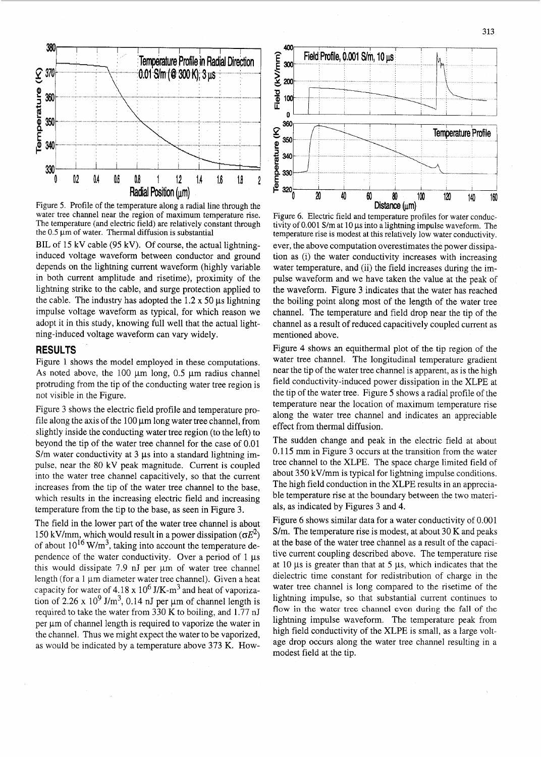

Figure 5. Profile of the temperature along a radial line through the water tree channel near the region of maximum temperature rise. The temperature (and electric field) are relatively constant through the  $0.5 \mu m$  of water. Thermal diffusion is substantial

BIL of 15 kV cable (95 kV). Of course, the actual lightninginduced voltage waveform between conductor and ground depends on the lightning current waveform (highly variable in both current amplitude and risetime), proximity of the lightning strike to the cable, and surge protection applied to the cable. The industry has adopted the  $1.2 \times 50 \,\mu s$  lightning impulse voltage waveform as typical, for which reason we adopt it in this study, knowing full well that the actual lightning-induced voltage waveform can vary widely.

## **RESULTS**

Figure 1 shows the model employed in these computations. As noted above, the 100  $\mu$ m long, 0.5  $\mu$ m radius channel protruding from the tip of the conducting water tree region is not visible in the Figure.

Figure 3 shows the electric field profile and temperature profile along the axis of the  $100 \mu m$  long water tree channel, from slightly inside the conducting water tree region (to the left) to beyond the tip of the water tree channel for the case of 0.01 S/m water conductivity at  $3 \mu s$  into a standard lightning impulse, near the 80 kV peak magnitude. Current is coupled into the water tree channel capacitively, so that the current increases from the tip of the water tree channel to the base, which results in the increasing electric field and increasing temperature from the tip to the base, as seen in Figure 3.

The field in the lower part of the water tree channel is about 150 kV/mm, which would result in a power dissipation ( $\sigma E^2$ ) of about  $10^{16}$  W/m<sup>3</sup>, taking into account the temperature dependence of the water conductivity. Over a period of 1 µs this would dissipate 7.9 nJ per um of water tree channel length (for a 1 µm diameter water tree channel). Given a heat capacity for water of 4.18 x  $10^6$  J/K-m<sup>3</sup> and heat of vaporization of 2.26 x  $10^9$  J/m<sup>3</sup>, 0.14 nJ per  $\mu$ m of channel length is required to take the water from 330 K to boiling, and 1.77 nJ per µm of channel length is required to vaporize the water in the channel. Thus we might expect the water to be vaporized, as would be indicated by a temperature above 373 K. How-



Figure 6. Electric field and temperature profiles for water conductivity of 0.001 S/m at 10 µs into a lightning impulse waveform. The temperature rise is modest at this relatively low water conductivity. ever, the above computation overestimates the power dissipation as (i) the water conductivity increases with increasing water temperature, and (ii) the field increases during the impulse waveform and we have taken the value at the peak of the waveform. Figure 3 indicates that the water has reached the boiling point along most of the length of the water tree channel. The temperature and field drop near the tip of the channel as a result of reduced capacitively coupled current as mentioned above.

Figure 4 shows an equithermal plot of the tip region of the water tree channel. The longitudinal temperature gradient near the tip of the water tree channel is apparent, as is the high field conductivity-induced power dissipation in the XLPE at the tip of the water tree. Figure 5 shows a radial profile of the temperature near the location of maximum temperature rise along the water tree channel and indicates an appreciable effect from thermal diffusion.

The sudden change and peak in the electric field at about 0.115 mm in Figure 3 occurs at the transition from the water tree channel to the XLPE. The space charge limited field of about 350 kV/mm is typical for lightning impulse conditions. The high field conduction in the XLPE results in an appreciable temperature rise at the boundary between the two materials, as indicated by Figures 3 and 4.

Figure 6 shows similar data for a water conductivity of 0.001 S/m. The temperature rise is modest, at about 30 K and peaks at the base of the water tree channel as a result of the capacitive current coupling described above. The temperature rise at 10  $\mu$ s is greater than that at 5  $\mu$ s, which indicates that the dielectric time constant for redistribution of charge in the water tree channel is long compared to the risetime of the lightning impulse, so that substantial current continues to flow in the water tree channel even during the fall of the lightning impulse waveform. The temperature peak from high field conductivity of the XLPE is small, as a large voltage drop occurs along the water tree channel resulting in a modest field at the tip.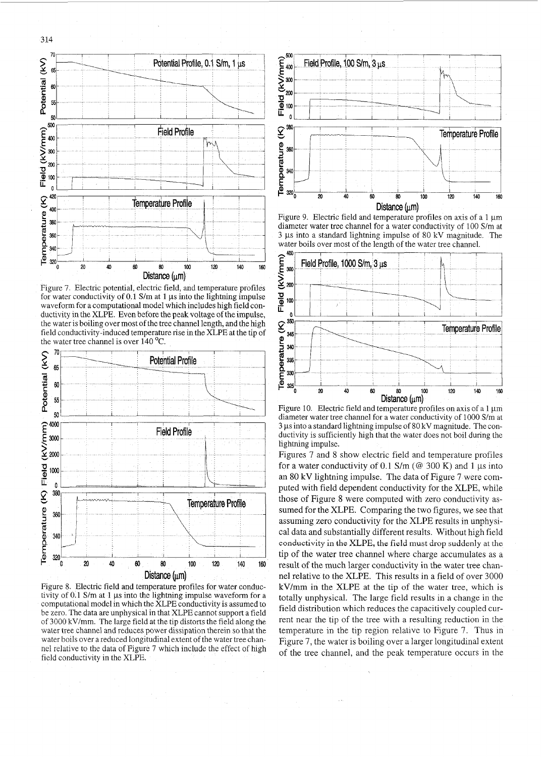<span id="page-4-0"></span>

Figure 7. Electric potential, electric field, and temperature profiles for water conductivity of  $0.1$  S/m at 1  $\mu$ s into the lightning impulse waveform for a computational model which includes high field conductivity in the XLPE. Even before the peak voltage of the impulse, the water is boiling over most of the tree channel length, and the high field conductivity-induced temperature rise in the XLPE at the tip of the water tree channel is over  $140^{\circ}$ C.



Figure 8. Electric field and temperature profiles for water conductivity of  $0.1$  S/m at 1  $\mu$ s into the lightning impulse waveform for a computational model in which the XLPE conductivity is assumed to be zero. The data are unphysical in that XLPE cannot support a field of 3000 kV/mm. The large field at the tip distorts the field along the water tree channel and reduces power dissipation therein so that the water boils over a reduced longitudinal extent of the water tree channel relative to the data of Figure 7 which include the effect of high field conductivity in the XLPE.



Figure 9. Electric field and temperature profiles on axis of a 1 µm diameter water tree channel for a water conductivity of 100 S/m at 3 µs into a standard lightning impulse of 80 kV magnitude. The water boils over most of the length of the water tree channel.



Figure 10. Electric field and temperature profiles on axis of a  $1 \mu m$ diameter water tree channel for a water conductivity of 1000 S/m at 3 us into a standard lightning impulse of 80 kV magnitude. The conductivity is sufficiently high that the water does not boil during the lightning impulse.

Figures 7 and 8 show electric field and temperature profiles for a water conductivity of 0.1 S/m ( $@300$  K) and 1 µs into an 80 kV lightning impulse. The data of Figure 7 were computed with field dependent conductivity for the XLPE, while those of Figure 8 were computed with zero conductivity assumed for the XLPE. Comparing the two figures, we see that assuming zero conductivity for the XLPE results in unphysical data and substantially different results. Without high field conductivity in the XLPE, the field must drop suddenly at the tip of the water tree channel where charge accumulates as a result of the much larger conductivity in the water tree channel relative to the XLPE. This results in a field of over 3000 kV/mm in the XLPE at the tip of the water tree, which is totally unphysical. The large field results in a change in the field distribution which reduces the capacitively coupled current near the tip of the tree with a resulting reduction in the temperature in the tip region relative to Figure 7. Thus in Figure 7, the water is boiling over a larger longitudinal extent of the tree channel, and the peak temperature occurs in the